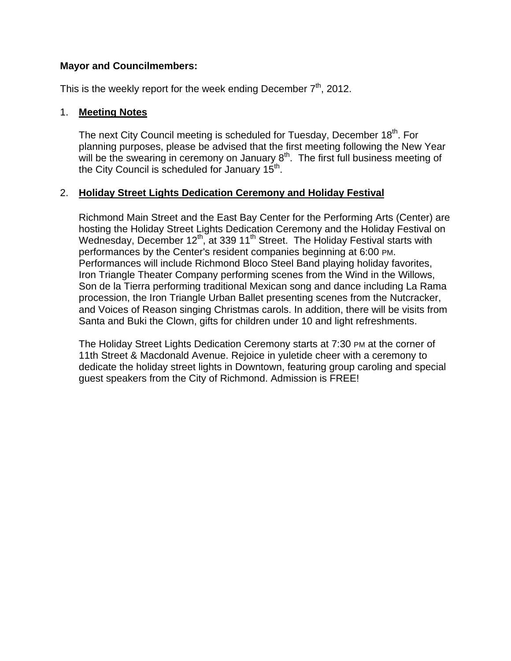### **Mayor and Councilmembers:**

This is the weekly report for the week ending December  $7<sup>th</sup>$ , 2012.

#### 1. **Meeting Notes**

The next City Council meeting is scheduled for Tuesday, December 18<sup>th</sup>. For planning purposes, please be advised that the first meeting following the New Year will be the swearing in ceremony on January  $8<sup>th</sup>$ . The first full business meeting of the City Council is scheduled for January  $15<sup>th</sup>$ .

#### 2. **Holiday Street Lights Dedication Ceremony and Holiday Festival**

Richmond Main Street and the East Bay Center for the Performing Arts (Center) are hosting the Holiday Street Lights Dedication Ceremony and the Holiday Festival on Wednesday, December 12<sup>th</sup>, at 339 11<sup>th</sup> Street. The Holiday Festival starts with performances by the Center's resident companies beginning at 6:00 PM. Performances will include Richmond Bloco Steel Band playing holiday favorites, Iron Triangle Theater Company performing scenes from the Wind in the Willows, Son de la Tierra performing traditional Mexican song and dance including La Rama procession, the Iron Triangle Urban Ballet presenting scenes from the Nutcracker, and Voices of Reason singing Christmas carols. In addition, there will be visits from Santa and Buki the Clown, gifts for children under 10 and light refreshments.

The Holiday Street Lights Dedication Ceremony starts at 7:30 PM at the corner of 11th Street & Macdonald Avenue. Rejoice in yuletide cheer with a ceremony to dedicate the holiday street lights in Downtown, featuring group caroling and special guest speakers from the City of Richmond. Admission is FREE!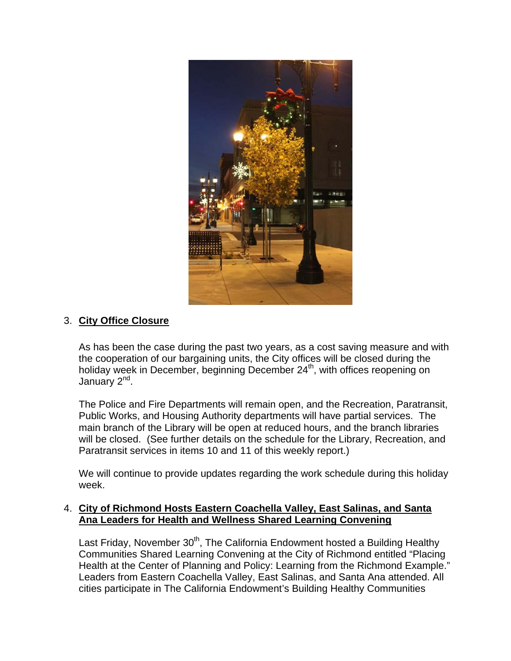

## 3. **City Office Closure**

As has been the case during the past two years, as a cost saving measure and with the cooperation of our bargaining units, the City offices will be closed during the holiday week in December, beginning December 24<sup>th</sup>, with offices reopening on January 2<sup>nd</sup>.

The Police and Fire Departments will remain open, and the Recreation, Paratransit, Public Works, and Housing Authority departments will have partial services. The main branch of the Library will be open at reduced hours, and the branch libraries will be closed. (See further details on the schedule for the Library, Recreation, and Paratransit services in items 10 and 11 of this weekly report.)

We will continue to provide updates regarding the work schedule during this holiday week.

### 4. **City of Richmond Hosts Eastern Coachella Valley, East Salinas, and Santa Ana Leaders for Health and Wellness Shared Learning Convening**

Last Friday, November  $30<sup>th</sup>$ , The California Endowment hosted a Building Healthy Communities Shared Learning Convening at the City of Richmond entitled "Placing Health at the Center of Planning and Policy: Learning from the Richmond Example." Leaders from Eastern Coachella Valley, East Salinas, and Santa Ana attended. All cities participate in The California Endowment's Building Healthy Communities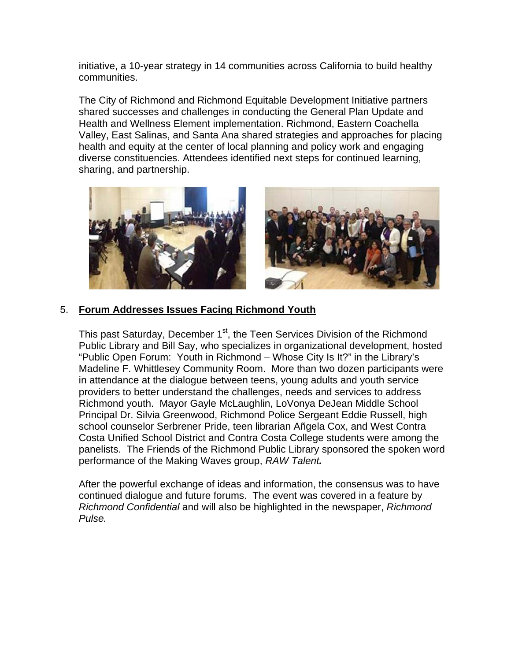initiative, a 10-year strategy in 14 communities across California to build healthy communities.

The City of Richmond and Richmond Equitable Development Initiative partners shared successes and challenges in conducting the General Plan Update and Health and Wellness Element implementation. Richmond, Eastern Coachella Valley, East Salinas, and Santa Ana shared strategies and approaches for placing health and equity at the center of local planning and policy work and engaging diverse constituencies. Attendees identified next steps for continued learning, sharing, and partnership.



### 5. **Forum Addresses Issues Facing Richmond Youth**

This past Saturday, December 1<sup>st</sup>, the Teen Services Division of the Richmond Public Library and Bill Say, who specializes in organizational development, hosted "Public Open Forum: Youth in Richmond – Whose City Is It?" in the Library's Madeline F. Whittlesey Community Room.More than two dozen participants were in attendance at the dialogue between teens, young adults and youth service providers to better understand the challenges, needs and services to address Richmond youth. Mayor Gayle McLaughlin, LoVonya DeJean Middle School Principal Dr. Silvia Greenwood, Richmond Police Sergeant Eddie Russell, high school counselor Serbrener Pride, teen librarian Añgela Cox, and West Contra Costa Unified School District and Contra Costa College students were among the panelists. The Friends of the Richmond Public Library sponsored the spoken word performance of the Making Waves group, *RAW Talent.*

After the powerful exchange of ideas and information, the consensus was to have continued dialogue and future forums. The event was covered in a feature by *Richmond Confidential* and will also be highlighted in the newspaper, *Richmond Pulse.*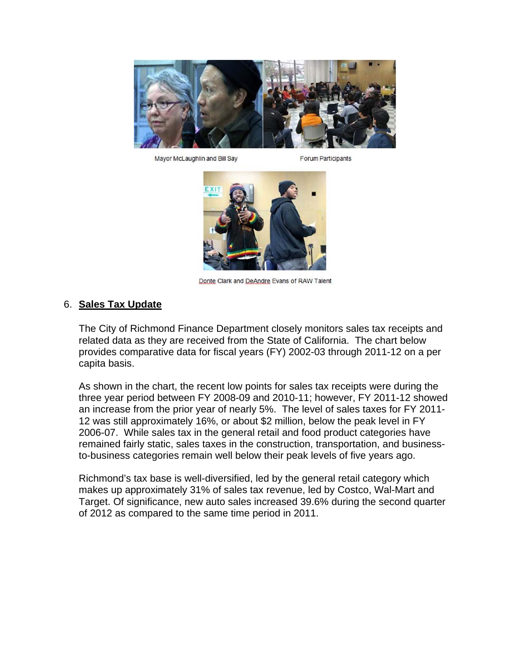

Mayor McLaughlin and Bill Say

**Forum Participants** 



Donte Clark and DeAndre Evans of RAW Talent

#### 6. **Sales Tax Update**

The City of Richmond Finance Department closely monitors sales tax receipts and related data as they are received from the State of California. The chart below provides comparative data for fiscal years (FY) 2002-03 through 2011-12 on a per capita basis.

As shown in the chart, the recent low points for sales tax receipts were during the three year period between FY 2008-09 and 2010-11; however, FY 2011-12 showed an increase from the prior year of nearly 5%. The level of sales taxes for FY 2011- 12 was still approximately 16%, or about \$2 million, below the peak level in FY 2006-07. While sales tax in the general retail and food product categories have remained fairly static, sales taxes in the construction, transportation, and businessto-business categories remain well below their peak levels of five years ago.

Richmond's tax base is well-diversified, led by the general retail category which makes up approximately 31% of sales tax revenue, led by Costco, Wal-Mart and Target. Of significance, new auto sales increased 39.6% during the second quarter of 2012 as compared to the same time period in 2011.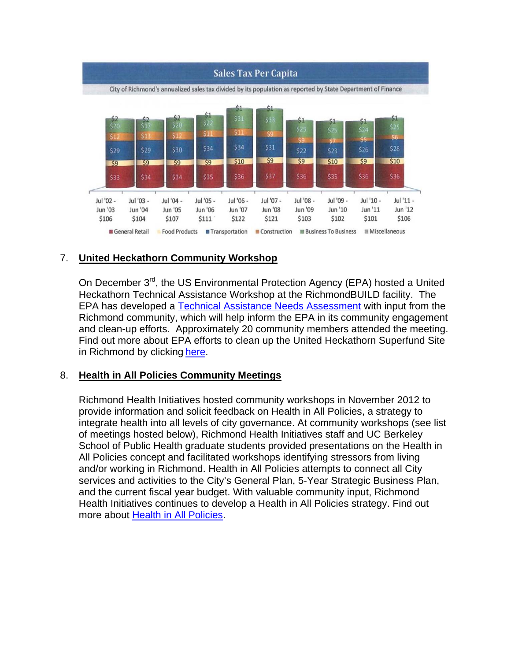

# 7. **United Heckathorn Community Workshop**

On December 3<sup>rd</sup>, the US Environmental Protection Agency (EPA) hosted a United Heckathorn Technical Assistance Workshop at the RichmondBUILD facility. The EPA has developed a Technical Assistance Needs Assessment with input from the Richmond community, which will help inform the EPA in its community engagement and clean-up efforts. Approximately 20 community members attended the meeting. Find out more about EPA efforts to clean up the United Heckathorn Superfund Site in Richmond by clicking here.

## 8. **Health in All Policies Community Meetings**

Richmond Health Initiatives hosted community workshops in November 2012 to provide information and solicit feedback on Health in All Policies, a strategy to integrate health into all levels of city governance. At community workshops (see list of meetings hosted below), Richmond Health Initiatives staff and UC Berkeley School of Public Health graduate students provided presentations on the Health in All Policies concept and facilitated workshops identifying stressors from living and/or working in Richmond. Health in All Policies attempts to connect all City services and activities to the City's General Plan, 5-Year Strategic Business Plan, and the current fiscal year budget. With valuable community input, Richmond Health Initiatives continues to develop a Health in All Policies strategy. Find out more about Health in All Policies.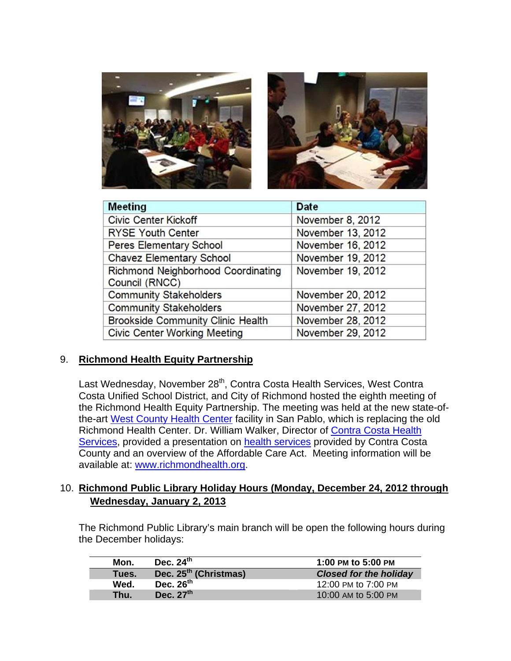

| <b>Meeting</b>                           | <b>Date</b>       |
|------------------------------------------|-------------------|
| <b>Civic Center Kickoff</b>              | November 8, 2012  |
| <b>RYSE Youth Center</b>                 | November 13, 2012 |
| Peres Elementary School                  | November 16, 2012 |
| <b>Chavez Elementary School</b>          | November 19, 2012 |
| Richmond Neighborhood Coordinating       | November 19, 2012 |
| Council (RNCC)                           |                   |
| <b>Community Stakeholders</b>            | November 20, 2012 |
| <b>Community Stakeholders</b>            | November 27, 2012 |
| <b>Brookside Community Clinic Health</b> | November 28, 2012 |
| <b>Civic Center Working Meeting</b>      | November 29, 2012 |

## 9. **Richmond Health Equity Partnership**

Last Wednesday, November 28<sup>th</sup>, Contra Costa Health Services, West Contra Costa Unified School District, and City of Richmond hosted the eighth meeting of the Richmond Health Equity Partnership. The meeting was held at the new state-ofthe-art West County Health Center facility in San Pablo, which is replacing the old Richmond Health Center. Dr. William Walker, Director of Contra Costa Health Services, provided a presentation on health services provided by Contra Costa County and an overview of the Affordable Care Act. Meeting information will be available at: www.richmondhealth.org.

## 10. **Richmond Public Library Holiday Hours (Monday, December 24, 2012 through Wednesday, January 2, 2013**

The Richmond Public Library's main branch will be open the following hours during the December holidays:

| Mon.  | Dec. $24th$                       | 1:00 PM to 5:00 PM            |
|-------|-----------------------------------|-------------------------------|
| Tues. | Dec. 25 <sup>th</sup> (Christmas) | <b>Closed for the holiday</b> |
| Wed.  | Dec. $26^{th}$                    | 12:00 PM to 7:00 PM           |
| Thu.  | Dec. $27th$                       | 10:00 AM to 5:00 PM           |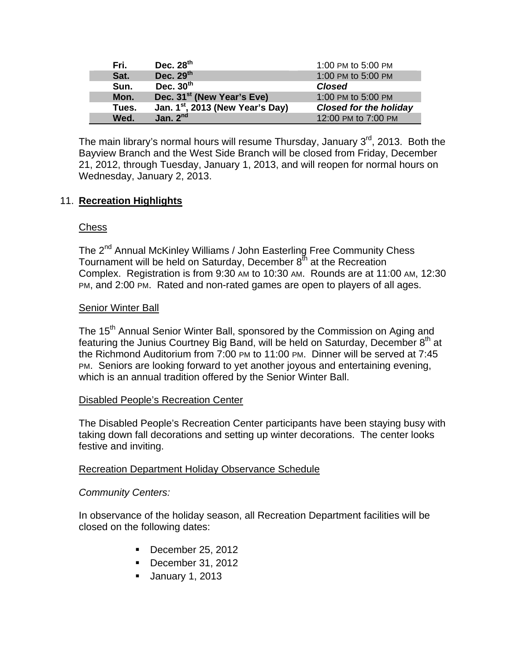| Fri.  | Dec. 28 <sup>th</sup>                        | 1:00 PM to 5:00 PM            |
|-------|----------------------------------------------|-------------------------------|
| Sat.  | Dec. $29th$                                  | 1:00 PM to 5:00 PM            |
| Sun.  | Dec. $30th$                                  | <b>Closed</b>                 |
| Mon.  | Dec. 31 <sup>st</sup> (New Year's Eve)       | 1:00 PM to 5:00 PM            |
| Tues. | Jan. 1 <sup>st</sup> , 2013 (New Year's Day) | <b>Closed for the holiday</b> |
| Wed.  | Jan. $2nd$                                   | 12:00 PM to 7:00 PM           |

The main library's normal hours will resume Thursday, January  $3<sup>rd</sup>$ , 2013. Both the Bayview Branch and the West Side Branch will be closed from Friday, December 21, 2012, through Tuesday, January 1, 2013, and will reopen for normal hours on Wednesday, January 2, 2013.

## 11. **Recreation Highlights**

### **Chess**

The 2<sup>nd</sup> Annual McKinley Williams / John Easterling Free Community Chess Tournament will be held on Saturday, December  $8<sup>th</sup>$  at the Recreation Complex. Registration is from 9:30 AM to 10:30 AM. Rounds are at 11:00 AM, 12:30 PM, and 2:00 PM. Rated and non-rated games are open to players of all ages.

#### Senior Winter Ball

The 15<sup>th</sup> Annual Senior Winter Ball, sponsored by the Commission on Aging and featuring the Junius Courtney Big Band, will be held on Saturday, December  $8<sup>th</sup>$  at the Richmond Auditorium from 7:00 PM to 11:00 PM. Dinner will be served at 7:45 PM. Seniors are looking forward to yet another joyous and entertaining evening, which is an annual tradition offered by the Senior Winter Ball.

### Disabled People's Recreation Center

The Disabled People's Recreation Center participants have been staying busy with taking down fall decorations and setting up winter decorations. The center looks festive and inviting.

### Recreation Department Holiday Observance Schedule

### *Community Centers:*

In observance of the holiday season, all Recreation Department facilities will be closed on the following dates:

- December 25, 2012
- December 31, 2012
- January 1, 2013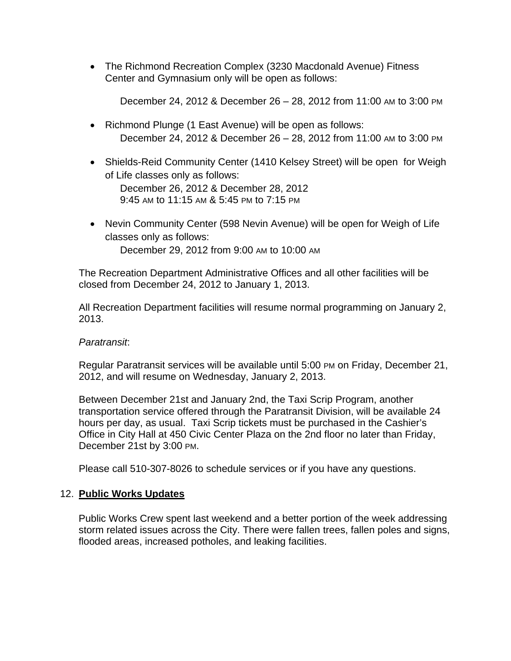The Richmond Recreation Complex (3230 Macdonald Avenue) Fitness Center and Gymnasium only will be open as follows:

December 24, 2012 & December 26 – 28, 2012 from 11:00 AM to 3:00 PM

- Richmond Plunge (1 East Avenue) will be open as follows: December 24, 2012 & December 26 – 28, 2012 from 11:00 AM to 3:00 PM
- Shields-Reid Community Center (1410 Kelsey Street) will be open for Weigh of Life classes only as follows: December 26, 2012 & December 28, 2012 9:45 AM to 11:15 AM & 5:45 PM to 7:15 PM
- Nevin Community Center (598 Nevin Avenue) will be open for Weigh of Life classes only as follows: December 29, 2012 from 9:00 AM to 10:00 AM

The Recreation Department Administrative Offices and all other facilities will be closed from December 24, 2012 to January 1, 2013.

All Recreation Department facilities will resume normal programming on January 2, 2013.

### *Paratransit*:

Regular Paratransit services will be available until 5:00 PM on Friday, December 21, 2012, and will resume on Wednesday, January 2, 2013.

Between December 21st and January 2nd, the Taxi Scrip Program, another transportation service offered through the Paratransit Division, will be available 24 hours per day, as usual. Taxi Scrip tickets must be purchased in the Cashier's Office in City Hall at 450 Civic Center Plaza on the 2nd floor no later than Friday, December 21st by 3:00 PM.

Please call 510-307-8026 to schedule services or if you have any questions.

## 12. **Public Works Updates**

Public Works Crew spent last weekend and a better portion of the week addressing storm related issues across the City. There were fallen trees, fallen poles and signs, flooded areas, increased potholes, and leaking facilities.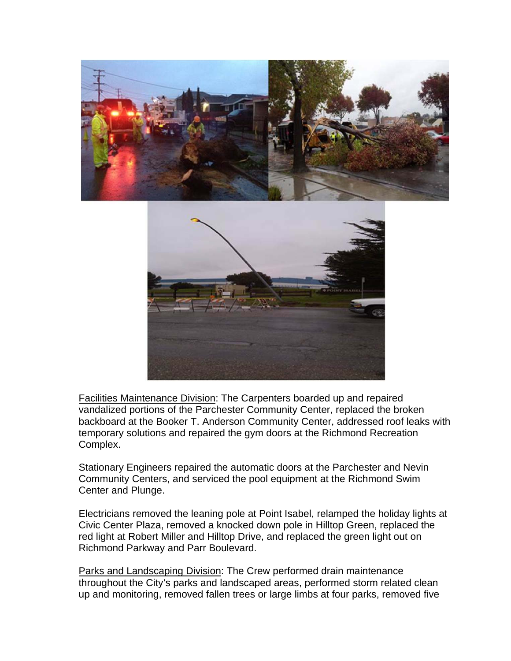

Facilities Maintenance Division: The Carpenters boarded up and repaired vandalized portions of the Parchester Community Center, replaced the broken backboard at the Booker T. Anderson Community Center, addressed roof leaks with temporary solutions and repaired the gym doors at the Richmond Recreation Complex.

Stationary Engineers repaired the automatic doors at the Parchester and Nevin Community Centers, and serviced the pool equipment at the Richmond Swim Center and Plunge.

Electricians removed the leaning pole at Point Isabel, relamped the holiday lights at Civic Center Plaza, removed a knocked down pole in Hilltop Green, replaced the red light at Robert Miller and Hilltop Drive, and replaced the green light out on Richmond Parkway and Parr Boulevard.

Parks and Landscaping Division: The Crew performed drain maintenance throughout the City's parks and landscaped areas, performed storm related clean up and monitoring, removed fallen trees or large limbs at four parks, removed five